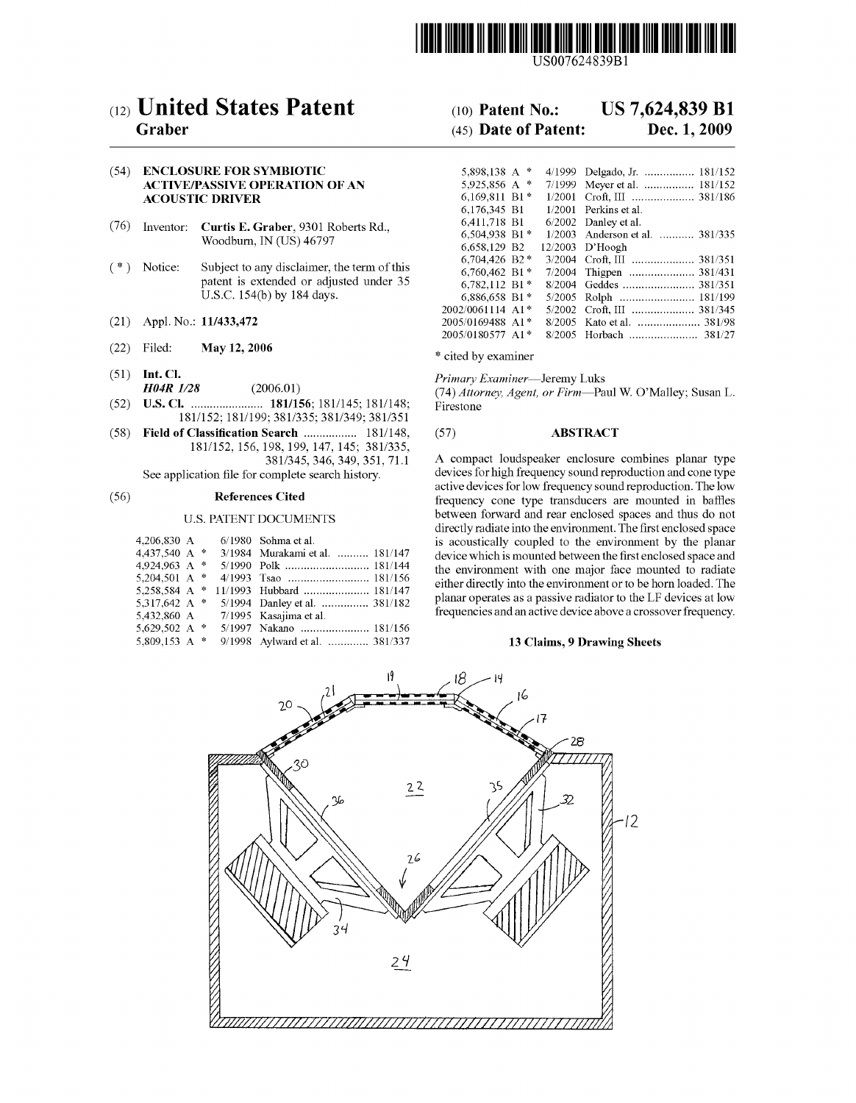

USOO7624839B1

# (12) United States Patent

## Graber

#### (54) ENCLOSURE FOR SYMBIOTIC ACTIVE/PASSIVE OPERATION OF AN **ACOUSTIC DRIVER**

- (76) Inventor: Curtis E. Graber, 9301 Roberts Rd., Woodburn, IN (US) 46797
- (\*) Notice: Subject to any disclaimer, the term of this patent is extended or adjusted under 35 U.S.C. 154(b) by 184 days.
- (21) Appl. No.: 11/433,472
- (22) Filed: May 12, 2006
- (51) Int. Cl.
- $H04R$   $1/28$  (2006.01)
- (52) U.S. Cl. ....................... 181/156; 181/145; 181/148: 181/152; 181/199; 381/335; 381/349; 381/351
- (58) Field of Classification Search ................. 181/148, 181/152, 156, 198, 199,147, 145; 381/335, 381/345, 346, 349, 351, 71.1

See application file for complete search history.

#### (56) References Cited

#### U.S. PATENT DOCUMENTS

| 4.206.830 A     |  | $6/1980$ Sohma et al.           |
|-----------------|--|---------------------------------|
| 4,437,540 A *   |  | 3/1984 Murakami et al.  181/147 |
| 4.924.963 A *   |  |                                 |
| 5,204,501 A $*$ |  |                                 |
| 5.258.584 A *   |  | 11/1993 Hubbard  181/147        |
| 5,317,642 A $*$ |  | 5/1994 Danley et al.  381/182   |
| 5.432.860 A     |  | 7/1995 Kasajima et al.          |
| 5,629,502 A $*$ |  | 5/1997 Nakano  181/156          |
| 5.809.153 A $*$ |  | 9/1998 Aylward et al.  381/337  |

#### US 7,624,839 B1 (10) Patent No.:

#### Dec. 1, 2009 (45) Date of Patent:

| 5,898,138 A $*$  |               | 4/1999 | Delgado, Jr.  181/152           |
|------------------|---------------|--------|---------------------------------|
| 5.925.856 A      | $\frac{1}{2}$ | 7/1999 | Meyer et al.  181/152           |
| $6.169.811 B1*$  |               | 1/2001 |                                 |
| 6.176.345 B1     |               | 1/2001 | Perkins et al.                  |
| 6,411,718 B1     |               |        | $6/2002$ Danley et al.          |
| 6,504,938 B1*    |               |        | 1/2003 Anderson et al.  381/335 |
| 6,658,129 B2     |               |        | $12/2003$ D'Hoogh               |
| 6,704,426 B2*    |               |        | 3/2004 Croft, III  381/351      |
| 6,760,462 B1*    |               |        | 7/2004 Thigpen  381/431         |
| 6.782.112 B1*    |               |        | 8/2004 Geddes  381/351          |
| 6,886,658 B1*    |               |        | 5/2005 Rolph  181/199           |
| 2002/0061114 A1* |               |        | 5/2002 Croft, III  381/345      |
| 2005/0169488 A1* |               |        |                                 |
| 2005/0180577 A1* |               | 8/2005 | 381/27                          |
|                  |               |        |                                 |

\* cited by examiner

Primary Examiner-Jeremy Luks

(74) Attorney, Agent, or Firm-Paul W. O'Malley; Susan L. Firestone

## (57) ABSTRACT

A compact loudspeaker enclosure combines planar type devices for high frequency sound reproduction and cone type active devices for low frequency sound reproduction. The low frequency cone type transducers are mounted in baffles between forward and rear enclosed spaces and thus do not directly radiate into the environment. The first enclosed space is acoustically coupled to the environment by the planar device which is mounted between the first enclosed space and the environment with one major face mounted to radiate either directly into the environment or to be horn loaded. The planar operates as a passive radiator to the LF devices at low frequencies and an active device above a crossover frequency.

#### 13 Claims, 9 Drawing Sheets

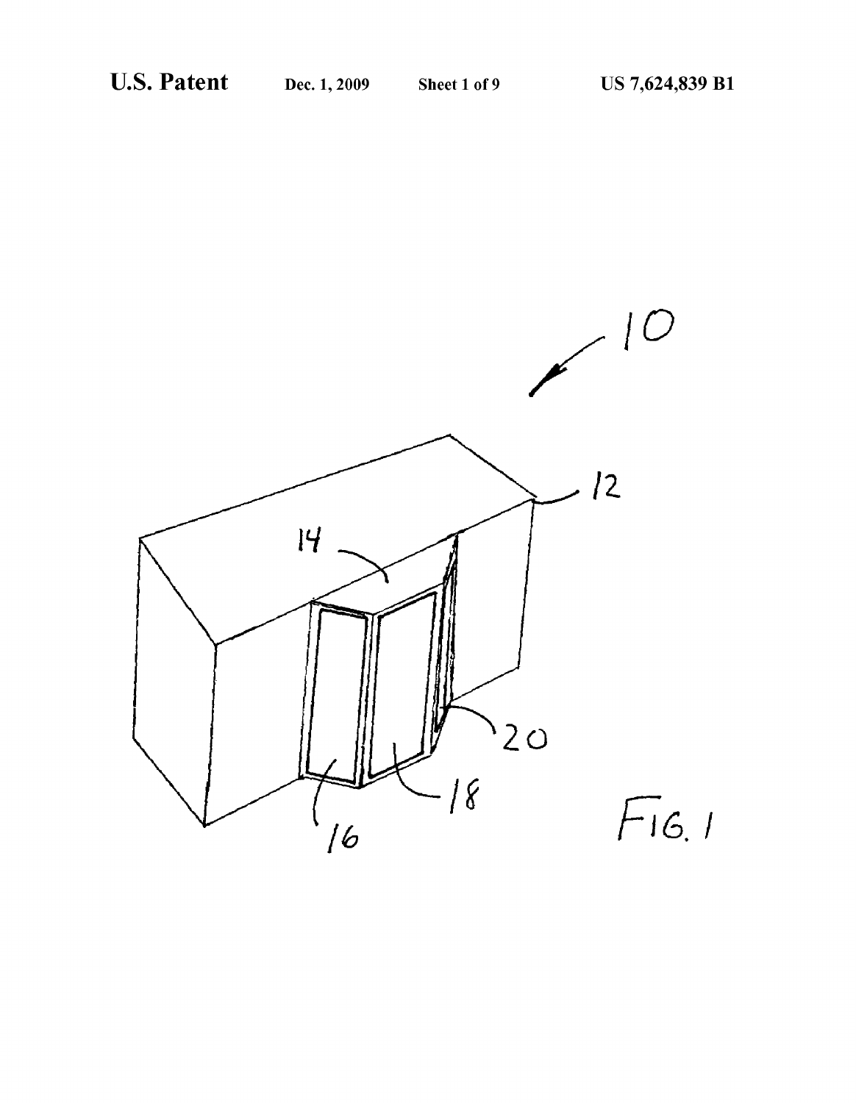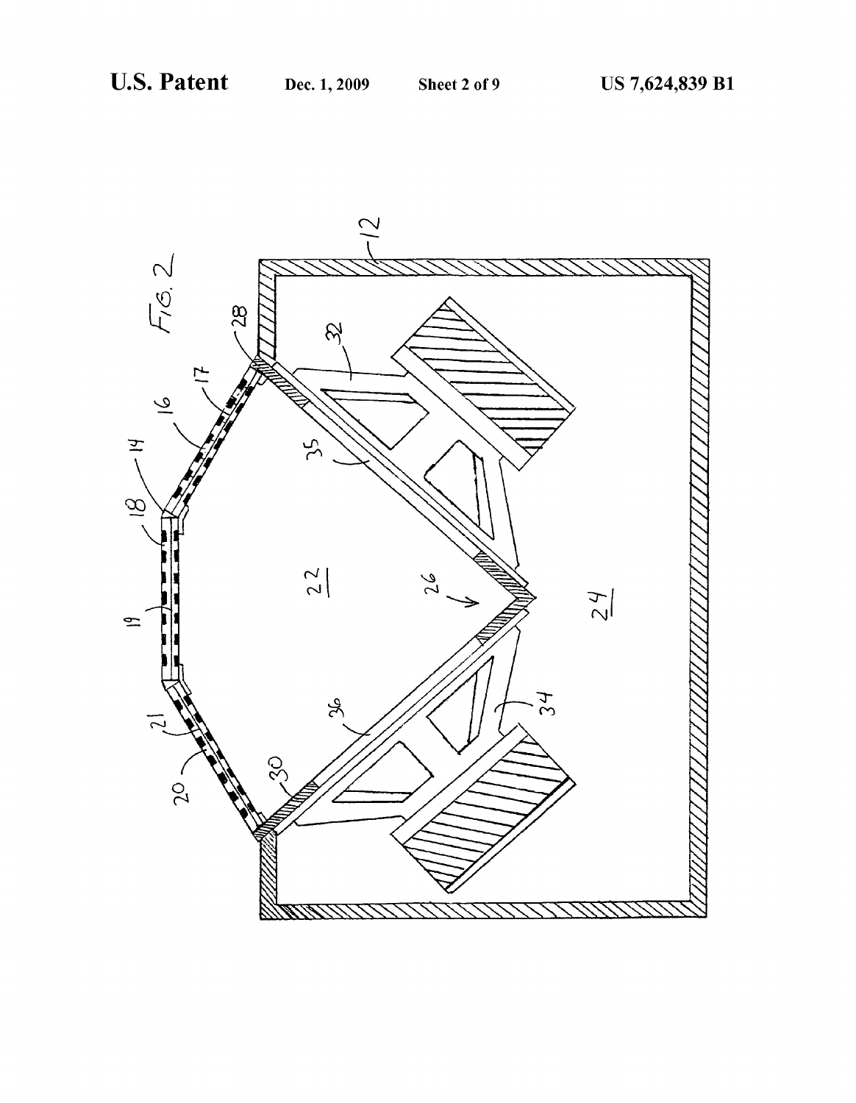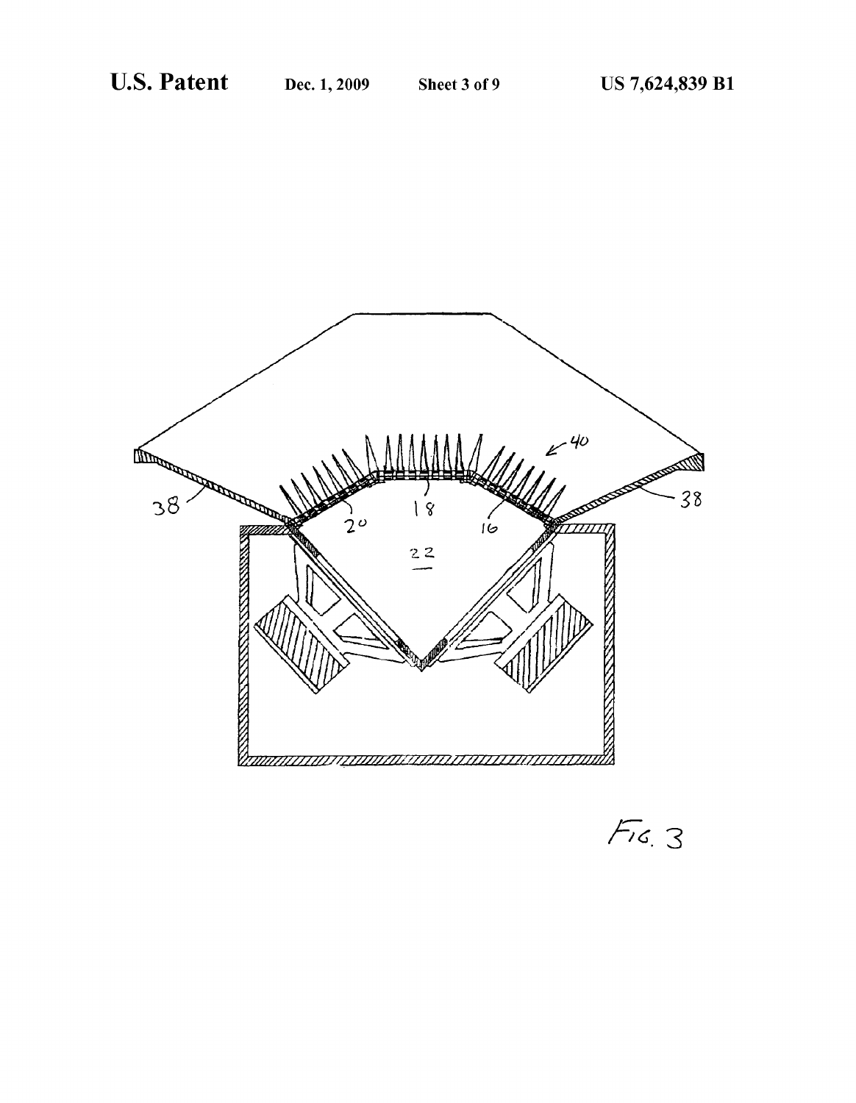

 $Fix.$  3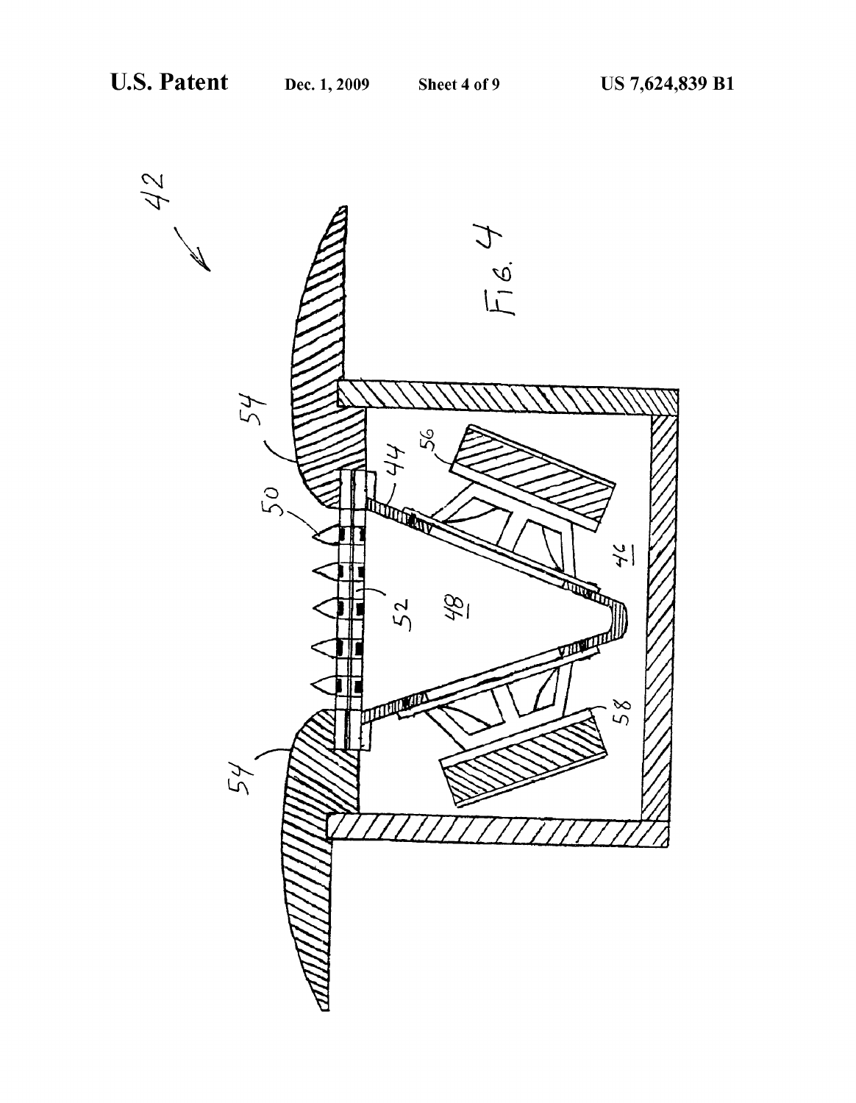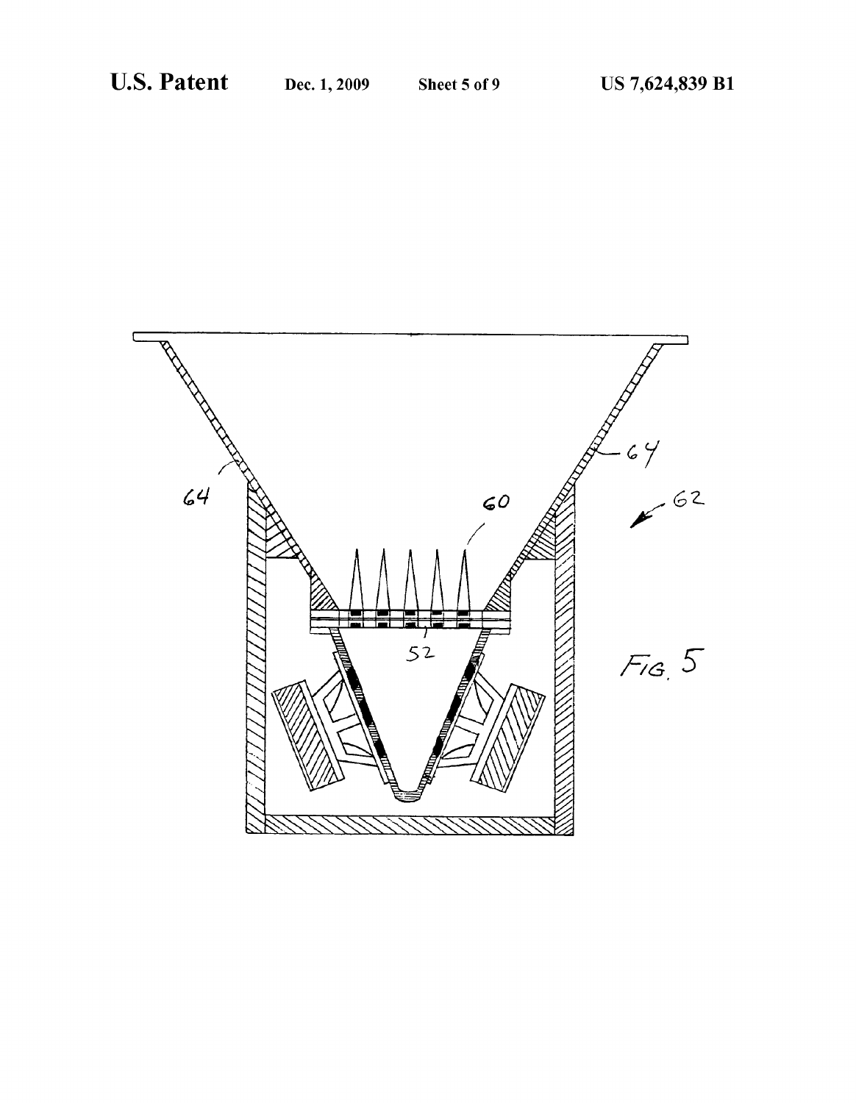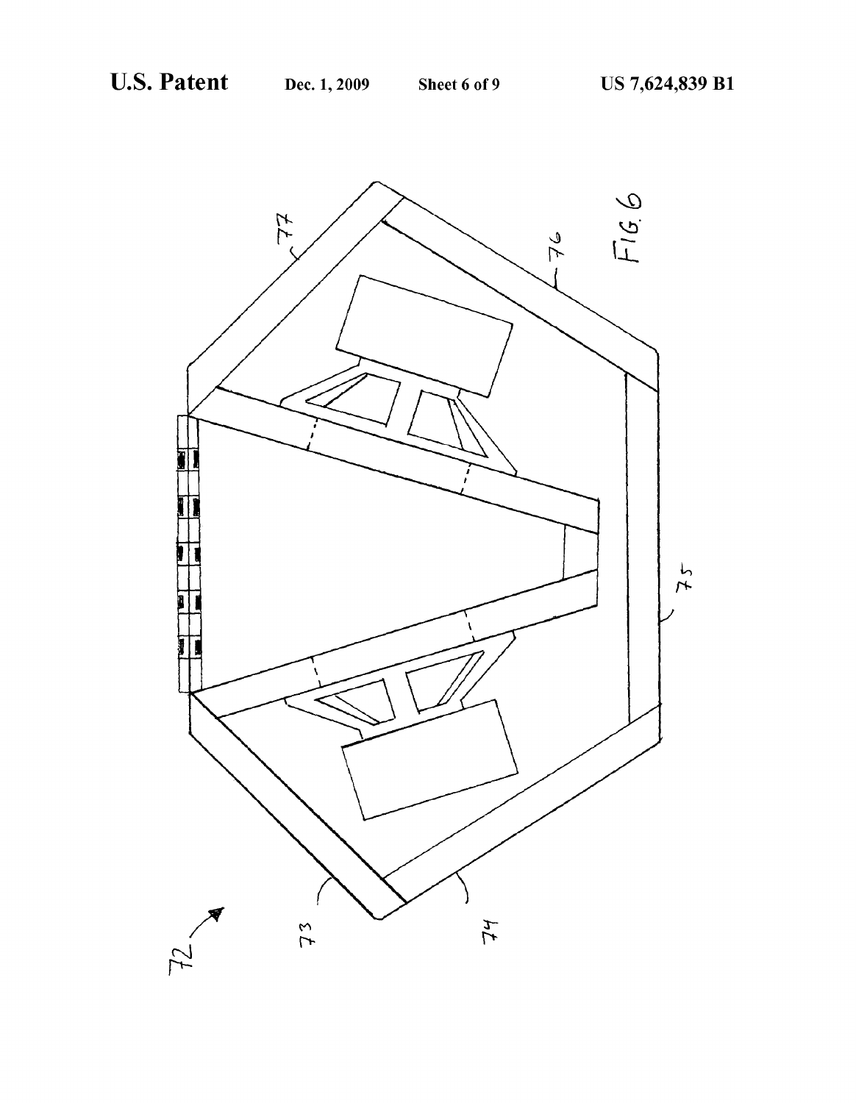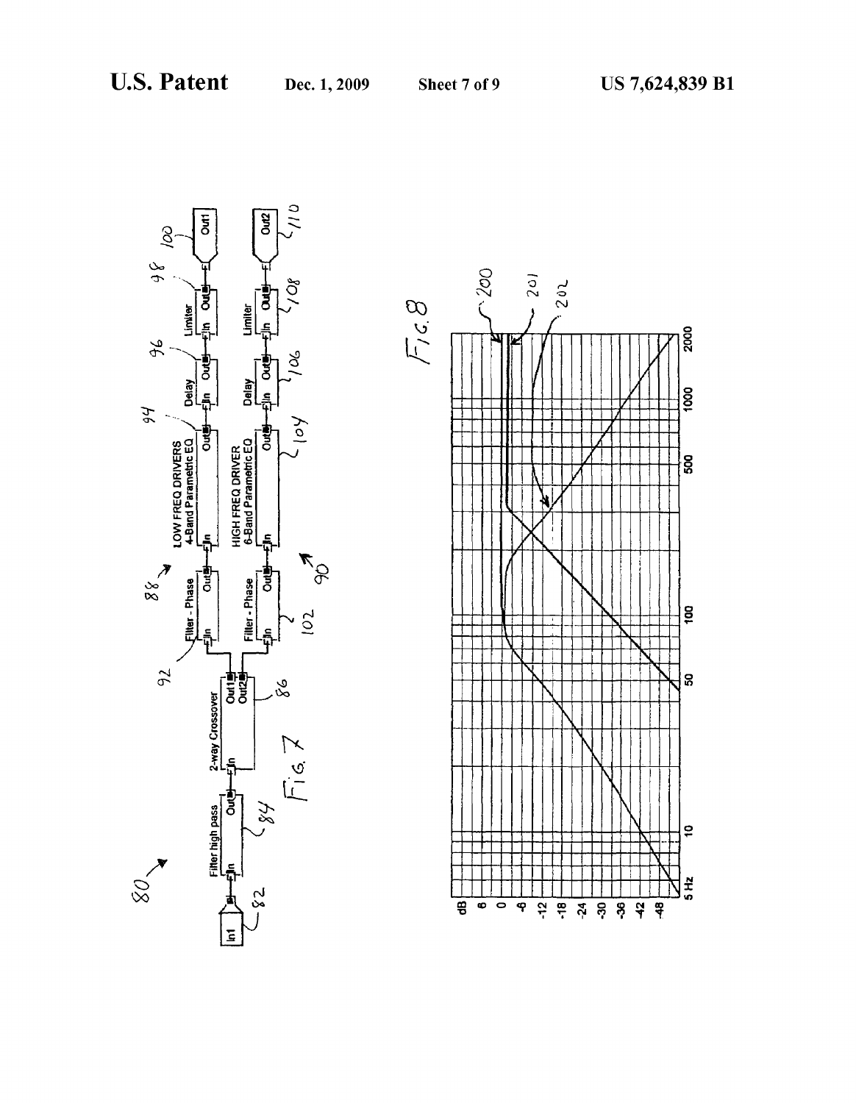

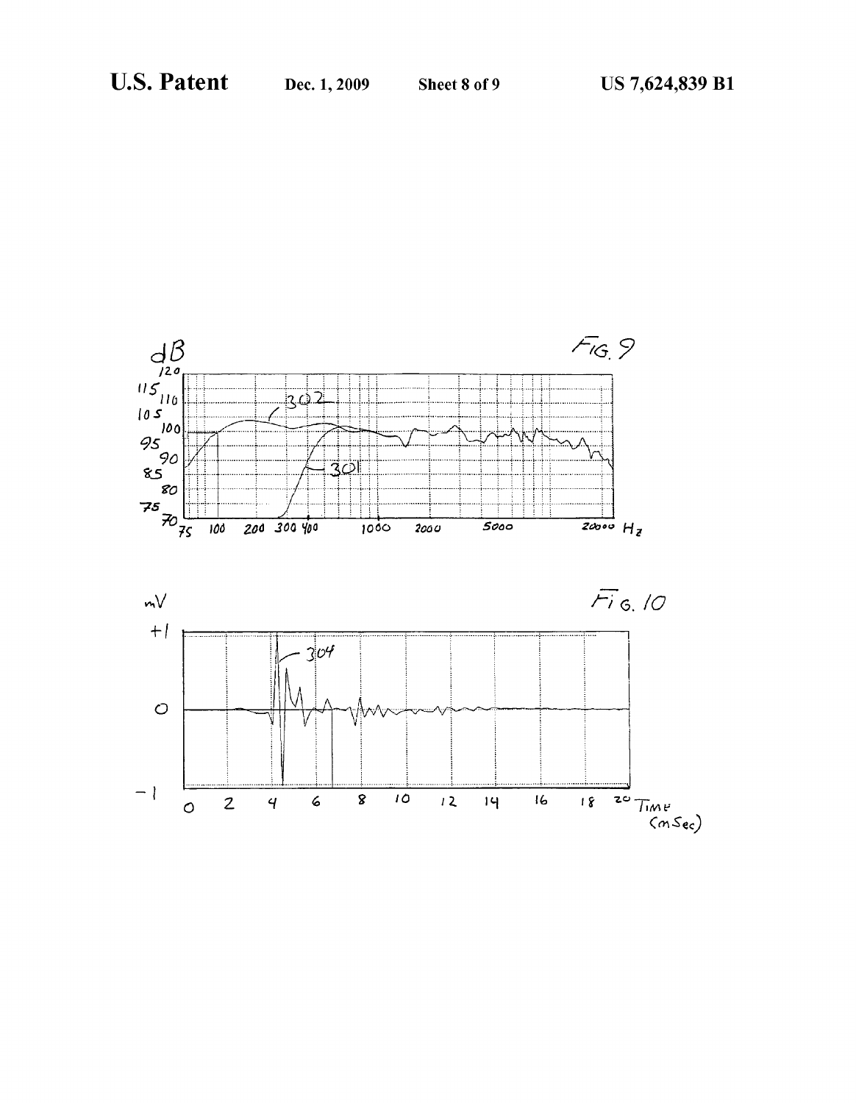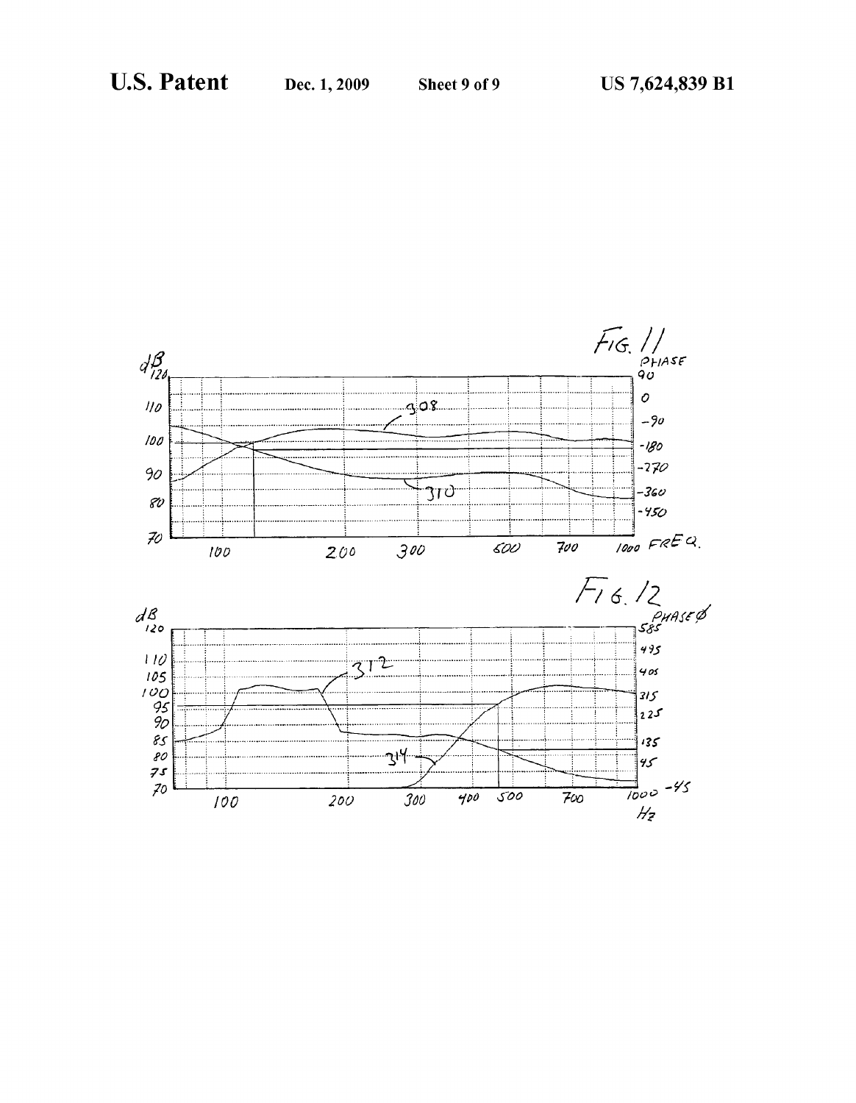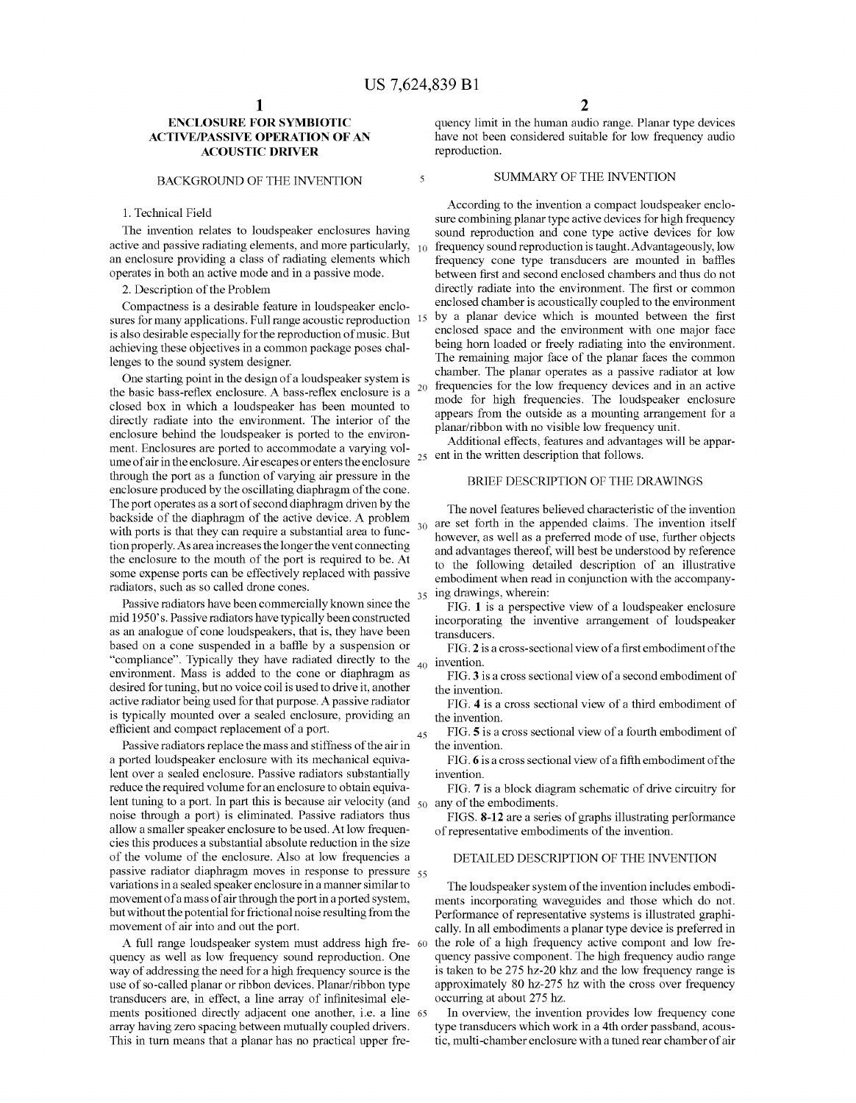5

35

#### ENCLOSURE FOR SYMBIOTIC ACTIVE/PASSIVE OPERATION OF AN **ACOUSTIC DRIVER**

#### BACKGROUND OF THE INVENTION

#### 1. Technical Field

The invention relates to loudspeaker enclosures having active and passive radiating elements, and more particularly,  $\,$   $_{10}$ an enclosure providing a class of radiating elements which operates in both an active mode and in a passive mode.

2. Description of the Problem

Compactness is a desirable feature in loudspeaker enclo sures for many applications. Full range acoustic reproduction <sup>15</sup> is also desirable especially for the reproduction of music. But achieving these objectives in a common package poses chal lenges to the sound system designer.

One starting point in the design of a loudspeaker system is the basic bass-reflex enclosure. A bass-reflex enclosure is a closed box in which a loudspeaker has been mounted to directly radiate into the environment. The interior of the enclosure behind the loudspeaker is ported to the environ ment. Enclosures are ported to accommodate a varying volume of air in the enclosure. Air escapes or enters the enclosure  $25$ through the port as a function of varying air pressure in the enclosure produced by the oscillating diaphragm of the cone. The port operates as a sort of second diaphragm driven by the backside of the diaphragm of the active device. A problem with ports is that they can require a substantial area to function properly. As area increases the longer the vent connecting the enclosure to the mouth of the port is required to be. At some expense ports can be effectively replaced with passive radiators, such as so called drone cones.

Passive radiators have been commercially known since the mid 1950's. Passive radiators have typically been constructed as an analogue of cone loudspeakers, that is, they have been based on a cone suspended in a baffle by a suspension or "compliance'. Typically they have radiated directly to the environment. Mass is added to the cone or diaphragm as desired fortuning, but no voice coil is used to drive it, another active radiator being used for that purpose. A passive radiator is typically mounted over a sealed enclosure, providing an efficient and compact replacement of a port.

Passive radiators replace the mass and stiffness of the air in a ported loudspeaker enclosure with its mechanical equiva lent over a sealed enclosure. Passive radiators substantially reduce the required Volume for an enclosure to obtain equiva lent tuning to a port. In part this is because air velocity (and  $50^{\circ}$  any of the embodiments. noise through a port) is eliminated. Passive radiators thus allow a smaller speaker enclosure to be used. At low frequen cies this produces a substantial absolute reduction in the size of the volume of the enclosure. Also at low frequencies a passive radiator diaphragm moves in response to pressure 55 variations in a sealed speaker enclosure in a manner similar to movement of a mass of air through the portin a ported system, but without the potential for frictional noise resulting from the movement of air into and out the port.

A full range loudspeaker system must address high fre- 60 quency as well as low frequency sound reproduction. One way of addressing the need for a high frequency source is the use of so-called planar or ribbon devices. Planar/ribbon type transducers are, in effect, a line array of infinitesimal ele ments positioned directly adjacent one another, i.e. a line 65 array having Zero spacing between mutually coupled drivers. This in turn means that a planar has no practical upper fre

quency limit in the human audio range. Planar type devices have not been considered suitable for low frequency audio reproduction.

#### SUMMARY OF THE INVENTION

According to the invention a compact loudspeaker enclo sure combining planar type active devices for high frequency sound reproduction and cone type active devices for low frequency sound reproduction is taught. Advantageously, low frequency cone type transducers are mounted in baffles between first and second enclosed chambers and thus do not directly radiate into the environment. The first or common enclosed chamber is acoustically coupled to the environment by a planar device which is mounted between the first enclosed space and the environment with one major face being horn loaded or freely radiating into the environment. The remaining major face of the planar faces the common chamber. The planar operates as a passive radiator at low frequencies for the low frequency devices and in an active mode for high frequencies. The loudspeaker enclosure appears from the outside as a mounting arrangement for a planar/ribbon with no visible low frequency unit.

Additional effects, features and advantages will be appar ent in the written description that follows.

#### BRIEF DESCRIPTION OF THE DRAWINGS

 $30<sub>30</sub>$  are set forth in the appended claims. The invention itself The novel features believed characteristic of the invention however, as well as a preferred mode of use, further objects and advantages thereof, will best be understood by reference to the following detailed description of an illustrative embodiment when read in conjunction with the accompanying drawings, wherein:

FIG. 1 is a perspective view of a loudspeaker enclosure incorporating the inventive arrangement of loudspeaker transducers.

40 invention. FIG. 2 is a cross-sectional view of a first embodiment of the

FIG.3 is a cross sectional view of a second embodiment of the invention.

FIG. 4 is a cross sectional view of a third embodiment of the invention.

45 FIG. 5 is a cross sectional view of a fourth embodiment of the invention.

FIG. 6 is a cross sectional view of a fifth embodiment of the invention.

FIG. 7 is a block diagram schematic of drive circuitry for

FIGS. 8-12 are a series of graphs illustrating performance of representative embodiments of the invention.

## DETAILED DESCRIPTION OF THE INVENTION

The loudspeaker system of the invention includes embodi ments incorporating waveguides and those which do not. Performance of representative systems is illustrated graphi cally. In all embodiments a planar type device is preferred in the role of a high frequency active compont and low fre quency passive component. The high frequency audio range is taken to be 275 hz-20 khz and the low frequency range is approximately 80 hz-275 hz with the cross over frequency occurring at about 275 hz.

In overview, the invention provides low frequency cone type transducers which work in a 4th order passband, acous tic, multi-chamber enclosure with a tuned rear chamber of air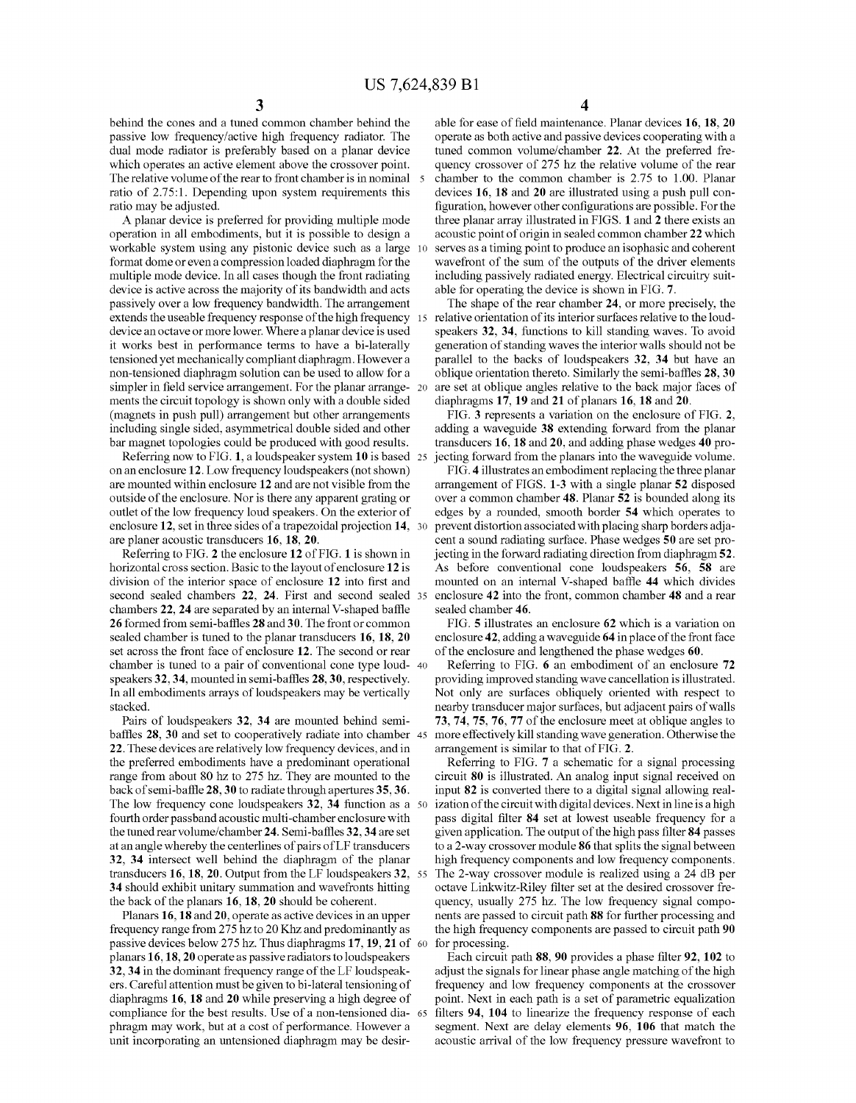behind the cones and a tuned common chamber behind the passive low frequency/active high frequency radiator. The dual mode radiator is preferably based on a planar device which operates an active element above the crossover point. The relative volume of the rear to front chamber is in nominal 5 ratio of 2.75:1. Depending upon system requirements this ratio may be adjusted.

A planar device is preferred for providing multiple mode operation in all embodiments, but it is possible to design a workable system using any pistonic device such as a large format dome or even a compression loaded diaphragm for the multiple mode device. In all cases though the front radiating device is active across the majority of its bandwidth and acts passively over a low frequency bandwidth. The arrangement extends the useable frequency response of the high frequency 15 device an octave or more lower. Where a planar device is used<br>it works best in performance terms to have a bi-laterally tensioned yet mechanically compliant diaphragm. However a non-tensioned diaphragm solution can be used to allow for a simpler in field service arrangement. For the planar arrange- 20 ments the circuit topology is shown only with a double sided (magnets in push pull) arrangement but other arrangements including single sided, asymmetrical double sided and other bar magnet topologies could be produced with good results. 10

Referring now to FIG. 1, a loudspeaker system 10 is based 25 on an enclosure 12. Low frequency loudspeakers (not shown) are mounted within enclosure 12 and are not visible from the outside of the enclosure. Nor is there any apparent grating or outlet of the low frequency loudspeakers. On the exterior of enclosure 12, set in three sides of a trapezoidal projection 14, 30 are planer acoustic transducers 16, 18, 20.

Referring to FIG. 2 the enclosure 12 of FIG. 1 is shown in horizontal cross section. Basic to the layout of enclosure 12 is division of the interior space of enclosure 12 into first and second sealed chambers 22, 24. First and second sealed 35 chambers 22, 24 are separated by an internal V-shaped baffle 26 formed from semi-baffles 28 and 30. The front or common sealed chamber is tuned to the planar transducers 16, 18, 20 set across the front face of enclosure 12. The second or rear chamber is tuned to a pair of conventional cone type loud- 40 speakers 32,34, mounted in semi-baffles 28, 30, respectively. In all embodiments arrays of loudspeakers may be vertically stacked.

Pairs of loudspeakers 32, 34 are mounted behind semi baffles 28, 30 and set to cooperatively radiate into chamber 45 22. These devices are relatively low frequency devices, and in the preferred embodiments have a predominant operational range from about 80 hz to 275 hz. They are mounted to the back of semi-baffle 28, 30 to radiate through apertures 35,36. The low frequency cone loudspeakers  $32$ ,  $34$  function as a  $50$ fourth order passband acoustic multi-chamber enclosure with the tuned rear volume/chamber 24. Semi-baffles 32, 34 are set at an angle whereby the centerlines of pairs of LF transducers 32, 34 intersect well behind the diaphragm of the planar transducers 16, 18, 20. Output from the LF loudspeakers 32. 55 34 should exhibit unitary summation and wavefronts hitting the back of the planars 16, 18, 20 should be coherent.<br>Planars 16, 18 and 20, operate as active devices in an upper

frequency range from 275 hz to 20 Khz and predominantly as passive devices below  $2/5$  hz. Thus diaphragms  $17, 19, 21$  of  $60$ planars 16, 18, 20 operate as passive radiators to loudspeakers 32, 34 in the dominant frequency range of the LF loudspeak ers. Careful attention must be given to bi-lateral tensioning of diaphragms 16, 18 and 20 while preserving a high degree of compliance for the best results. Use of a non-tensioned dia- 65 phragm may work, but at a cost of performance. However a unit incorporating an untensioned diaphragm may be desir

4

able for ease of field maintenance. Planar devices 16, 18, 20 operate as both active and passive devices cooperating with a tuned common volume/chamber 22. At the preferred fre quency crossover of 275 hz the relative volume of the rear chamber to the common chamber is 2.75 to 1.00. Planar devices 16, 18 and 20 are illustrated using a push pull con figuration, however other configurations are possible. For the three planar array illustrated in FIGS. 1 and 2 there exists an acoustic point of origin in sealed common chamber 22 which serves as a timing point to produce an isophasic and coherent wavefront of the sum of the outputs of the driver elements including passively radiated energy. Electrical circuitry Suit able for operating the device is shown in FIG. 7.

The shape of the rear chamber 24, or more precisely, the relative orientation of its interior surfaces relative to the loud speakers 32, 34, functions to kill standing waves. To avoid generation of standing waves the interior walls should not be parallel to the backs of loudspeakers 32, 34 but have an oblique orientation thereto. Similarly the semi-baffles 28, 30 are set at oblique angles relative to the back major faces of

diaphragms 17, 19 and 21 of planars 16, 18 and 20.<br>FIG. 3 represents a variation on the enclosure of FIG. 2, adding a waveguide 38 extending forward from the planar transducers 16, 18 and 20, and adding phase wedges 40 pro jecting forward from the planars into the waveguide volume.

FIG. 4 illustrates an embodiment replacing the three planar arrangement of FIGS. 1-3 with a single planar 52 disposed over a common chamber 48. Planar 52 is bounded along its edges by a rounded, smooth border 54 which operates to prevent distortion associated with placing sharp borders adja cent a sound radiating surface. Phase wedges 50 are set projecting in the forward radiating direction from diaphragm 52. As before conventional cone loudspeakers 56, 58 are mounted on an internal V-shaped baffle 44 which divides enclosure 42 into the front, common chamber 48 and a rear sealed chamber 46.

FIG. 5 illustrates an enclosure 62 which is a variation on enclosure 42, adding a waveguide 64 in place of the front face of the enclosure and lengthened the phase wedges 60.

Referring to FIG. 6 an embodiment of an enclosure 72 providing improved standing wave cancellation is illustrated. Not only are surfaces obliquely oriented with respect to nearby transducer major Surfaces, but adjacent pairs of walls 73, 74, 75, 76, 77 of the enclosure meet at oblique angles to more effectively kill standing wave generation. Otherwise the arrangement is similar to that of FIG. 2.

Referring to FIG. 7 a schematic for a signal processing circuit 80 is illustrated. An analog input signal received on input 82 is converted there to a digital signal allowing real ization of the circuit with digital devices. Next in line is a high pass digital filter 84 set at lowest useable frequency for a given application. The output of the high pass filter 84 passes to a 2-way crossover module 86 that splits the signal between high frequency components and low frequency components. The 2-way crossover module is realized using a 24 dB per octave Linkwitz-Riley filter set at the desired crossover fre quency, usually 275 hz. The low frequency signal compo nents are passed to circuit path 88 for further processing and the high frequency components are passed to circuit path 90 for processing.

Each circuit path 88,90 provides a phase filter 92, 102 to adjust the signals for linear phase angle matching of the high frequency and low frequency components at the crossover point. Next in each path is a set of parametric equalization filters 94, 104 to linearize the frequency response of each segment. Next are delay elements 96, 106 that match the acoustic arrival of the low frequency pressure wavefront to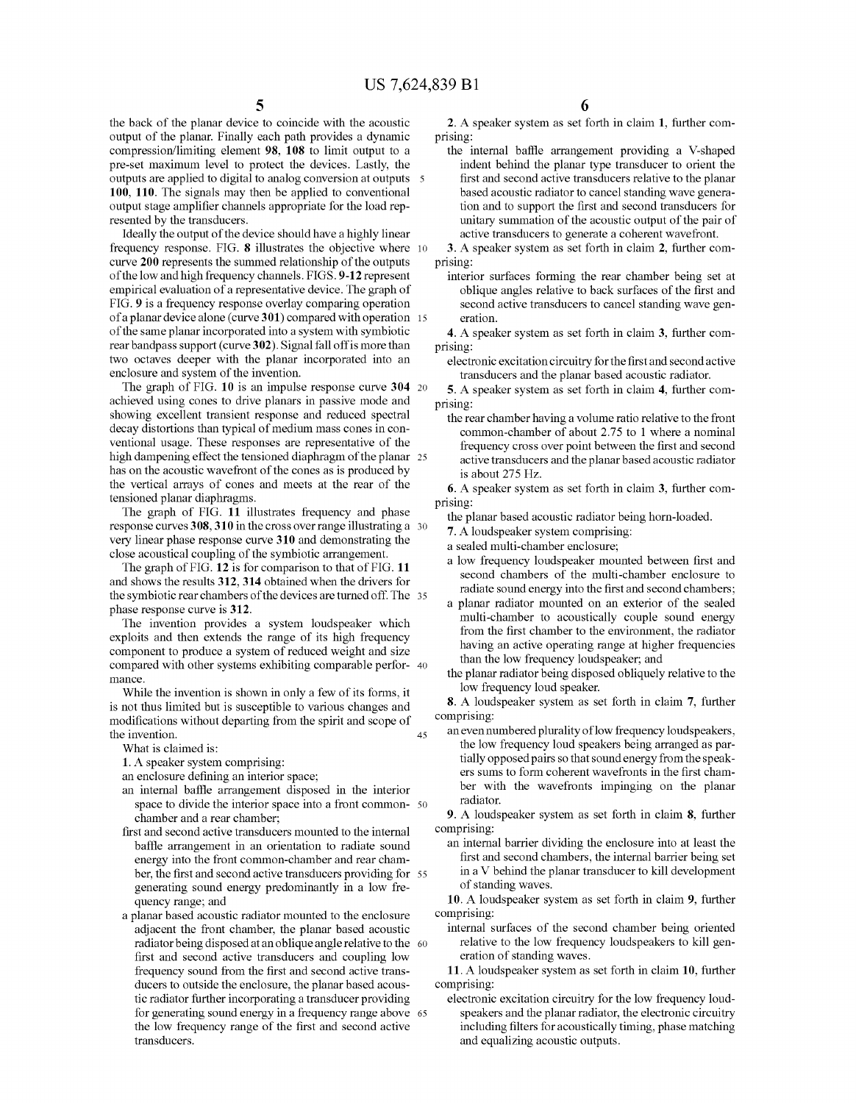the back of the planar device to coincide with the acoustic output of the planar. Finally each path provides a dynamic compression/limiting element 98, 108 to limit output to a pre-set maximum level to protect the devices. Lastly, the outputs are applied to digital to analog conversion at outputs 100, 110. The signals may then be applied to conventional output stage amplifier channels appropriate for the load rep resented by the transducers.

Ideally the output of the device should have a highly linear frequency response. FIG. 8 illustrates the objective where 10 curve 200 represents the summed relationship of the outputs of the low and high frequency channels. FIGS. 9-12 represent empirical evaluation of a representative device. The graph of FIG. 9 is a frequency response overlay comparing operation of the same planar incorporated into a system with symbiotic rear bandpass support (curve 302). Signal fall off is more than two octaves deeper with the planar incorporated into an enclosure and system of the invention. of a planar device alone (curve 301) compared with operation 15

The graph of FIG. 10 is an impulse response curve 304 20 achieved using cones to drive planars in passive mode and showing excellent transient response and reduced spectral decay distortions than typical of medium mass cones in con ventional usage. These responses are representative of the high dampening effect the tensioned diaphragm of the planar 25 has on the acoustic wavefront of the cones as is produced by the vertical arrays of cones and meets at the rear of the tensioned planar diaphragms.

The graph of FIG. 11 illustrates frequency and phase response curves 308,310 in the cross over range illustrating a 30 very linear phase response curve 310 and demonstrating the close acoustical coupling of the symbiotic arrangement.

The graph of FIG. 12 is for comparison to that of FIG. 11 and shows the results 312, 314 obtained when the drivers for the symbiotic rear chambers of the devices are turned off. The 35 phase response curve is 312.

The invention provides a system loudspeaker which exploits and then extends the range of its high frequency component to produce a system of reduced weight and size compared with other systems exhibiting comparable perfor- 40 mance.

While the invention is shown in only a few of its forms, it is not thus limited but is susceptible to various changes and modifications without departing from the spirit and scope of the invention. 45

What is claimed is:

1. A speaker system comprising:

an enclosure defining an interior space;

- an internal baffle arrangement disposed in the interior space to divide the interior space into a front common- 50 chamber and a rear chamber;
- first and second active transducers mounted to the internal baffle arrangement in an orientation to radiate sound energy into the front common-chamber and rear cham ber, the first and second active transducers providing for 55 generating sound energy predominantly in a low frequency range; and
- a planar based acoustic radiator mounted to the enclosure adjacent the front chamber, the planar based acoustic radiator being disposed at an oblique angle relative to the 60 first and second active transducers and coupling low frequency sound from the first and second active transducers to outside the enclosure, the planar based acous tic radiator further incorporating a transducer providing for generating sound energy in a frequency range above 65 the low frequency range of the first and second active transducers.

2. A speaker system as set forth in claim 1, further com prising:

the internal baffle arrangement providing a V-shaped indent behind the planar type transducer to orient the first and second active transducers relative to the planar based acoustic radiator to cancel standing wave genera tion and to support the first and second transducers for unitary Summation of the acoustic output of the pair of active transducers to generate a coherent wavefront.

3. A speaker system as set forth in claim 2, further com prising:

interior surfaces forming the rear chamber being set at oblique angles relative to back surfaces of the first and second active transducers to cancel standing wave gen eration.

4. A speaker system as set forth in claim 3, further com prising:

electronic excitation circuitry for the first and second active transducers and the planar based acoustic radiator.

5. A speaker system as set forth in claim 4, further com prising:

the rear chamber having a volume ratio relative to the front common-chamber of about 2.75 to 1 where a nominal frequency cross over point between the first and second active transducers and the planar based acoustic radiator is about 275 HZ.

6. A speaker system as set forth in claim 3, further com prising:

the planar based acoustic radiator being horn-loaded.

7. A loudspeaker system comprising:

a sealed multi-chamber enclosure;

- a low frequency loudspeaker mounted between first and second chambers of the multi-chamber enclosure to radiate sound energy into the first and second chambers;
- a planar radiator mounted on an exterior of the sealed multi-chamber to acoustically couple sound energy from the first chamber to the environment, the radiator having an active operating range at higher frequencies than the low frequency loudspeaker, and
- the planar radiator being disposed obliquely relative to the low frequency loud speaker.

8. A loudspeaker system as set forth in claim 7, further comprising:

an even numbered plurality of low frequency loudspeakers, the low frequency loud speakers being arranged as par ers sums to form coherent wavefronts in the first chamber with the wavefronts impinging on the planar radiator.

9. A loudspeaker system as set forth in claim 8, further comprising:

an internal barrier dividing the enclosure into at least the first and second chambers, the internal barrier being set in a V behind the planar transducer to kill development of standing waves.

10. A loudspeaker system as set forth in claim 9, further comprising:

internal surfaces of the second chamber being oriented relative to the low frequency loudspeakers to kill gen eration of standing waves.

11. A loudspeaker system as set forth in claim 10, further comprising:

electronic excitation circuitry for the low frequency loud-<br>speakers and the planar radiator, the electronic circuitry including filters for acoustically timing, phase matching and equalizing acoustic outputs.